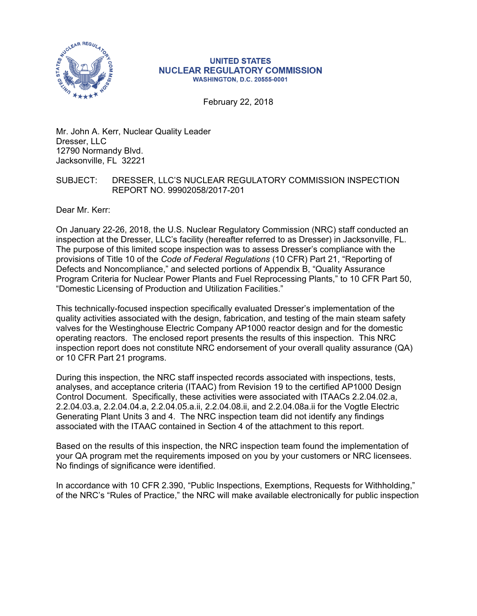

#### **UNITED STATES NUCLEAR REGULATORY COMMISSION WASHINGTON, D.C. 20555-0001**

February 22, 2018

Mr. John A. Kerr, Nuclear Quality Leader Dresser, LLC 12790 Normandy Blvd. Jacksonville, FL 32221

#### SUBJECT: DRESSER, LLC'S NUCLEAR REGULATORY COMMISSION INSPECTION REPORT NO. 99902058/2017-201

Dear Mr. Kerr:

On January 22-26, 2018, the U.S. Nuclear Regulatory Commission (NRC) staff conducted an inspection at the Dresser, LLC's facility (hereafter referred to as Dresser) in Jacksonville, FL. The purpose of this limited scope inspection was to assess Dresser's compliance with the provisions of Title 10 of the *Code of Federal Regulations* (10 CFR) Part 21, "Reporting of Defects and Noncompliance," and selected portions of Appendix B, "Quality Assurance Program Criteria for Nuclear Power Plants and Fuel Reprocessing Plants," to 10 CFR Part 50, "Domestic Licensing of Production and Utilization Facilities."

This technically-focused inspection specifically evaluated Dresser's implementation of the quality activities associated with the design, fabrication, and testing of the main steam safety valves for the Westinghouse Electric Company AP1000 reactor design and for the domestic operating reactors. The enclosed report presents the results of this inspection. This NRC inspection report does not constitute NRC endorsement of your overall quality assurance (QA) or 10 CFR Part 21 programs.

During this inspection, the NRC staff inspected records associated with inspections, tests, analyses, and acceptance criteria (ITAAC) from Revision 19 to the certified AP1000 Design Control Document. Specifically, these activities were associated with ITAACs 2.2.04.02.a, 2.2.04.03.a, 2.2.04.04.a, 2.2.04.05.a.ii, 2.2.04.08.ii, and 2.2.04.08a.ii for the Vogtle Electric Generating Plant Units 3 and 4. The NRC inspection team did not identify any findings associated with the ITAAC contained in Section 4 of the attachment to this report.

Based on the results of this inspection, the NRC inspection team found the implementation of your QA program met the requirements imposed on you by your customers or NRC licensees. No findings of significance were identified.

In accordance with 10 CFR 2.390, "Public Inspections, Exemptions, Requests for Withholding," of the NRC's "Rules of Practice," the NRC will make available electronically for public inspection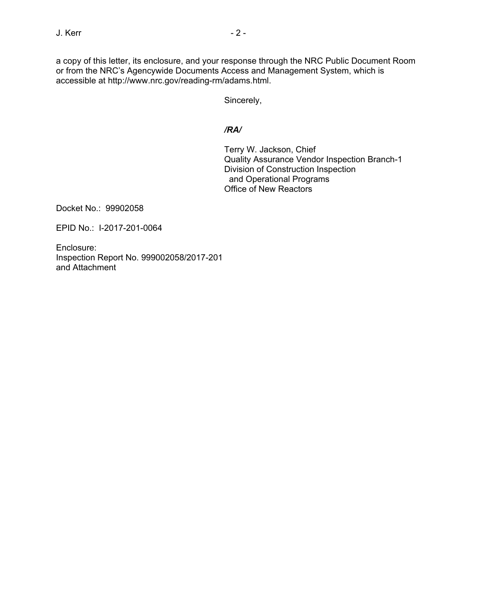a copy of this letter, its enclosure, and your response through the NRC Public Document Room or from the NRC's Agencywide Documents Access and Management System, which is accessible at http://www.nrc.gov/reading-rm/adams.html.

Sincerely,

## */RA/*

Terry W. Jackson, Chief Quality Assurance Vendor Inspection Branch-1 Division of Construction Inspection and Operational Programs Office of New Reactors

Docket No.: 99902058

EPID No.: I-2017-201-0064

Enclosure: Inspection Report No. 999002058/2017-201 and Attachment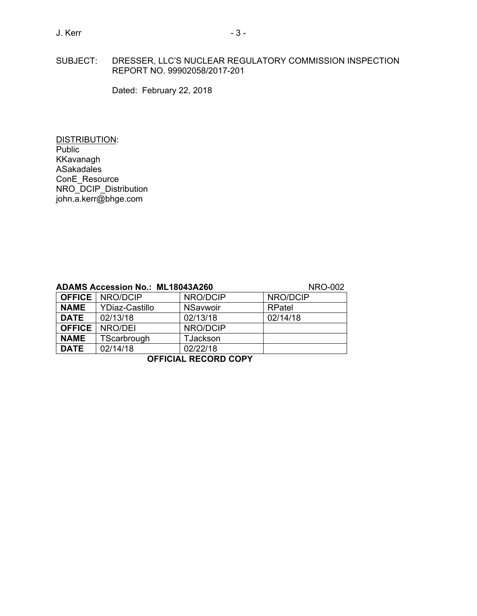## SUBJECT: DRESSER, LLC'S NUCLEAR REGULATORY COMMISSION INSPECTION REPORT NO. 99902058/2017-201

Dated: February 22, 2018

DISTRIBUTION: **Public** KKavanagh ASakadales ConE\_Resource NRO\_DCIP\_Distribution john.a.kerr@bhge.com

|               | <b>ADAMS Accession No.: ML18043A260</b> |                 | <b>NRO-002</b> |
|---------------|-----------------------------------------|-----------------|----------------|
|               | <b>OFFICE   NRO/DCIP</b>                | NRO/DCIP        | NRO/DCIP       |
| <b>NAME</b>   | YDiaz-Castillo                          | <b>NSavwoir</b> | RPatel         |
| <b>DATE</b>   | 02/13/18                                | 02/13/18        | 02/14/18       |
| <b>OFFICE</b> | NRO/DEI                                 | NRO/DCIP        |                |
| <b>NAME</b>   | TScarbrough                             | <b>TJackson</b> |                |
| <b>DATE</b>   | 02/14/18                                | 02/22/18        |                |

**OFFICIAL RECORD COPY**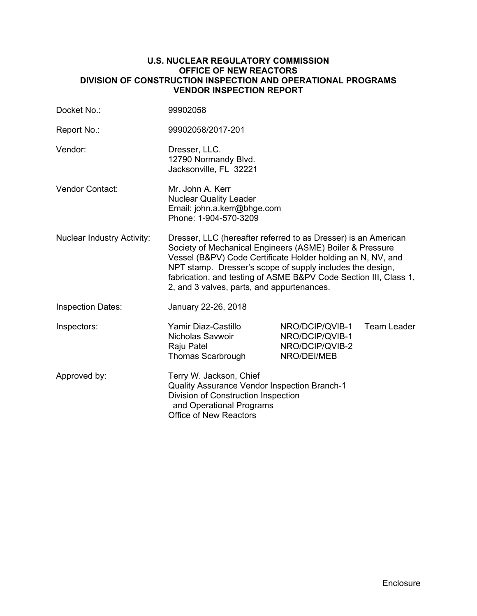#### **U.S. NUCLEAR REGULATORY COMMISSION OFFICE OF NEW REACTORS DIVISION OF CONSTRUCTION INSPECTION AND OPERATIONAL PROGRAMS VENDOR INSPECTION REPORT**

| Docket No.:                       | 99902058                                                                                                                                                                                                                                                                                                                                                                 |                                                                      |             |
|-----------------------------------|--------------------------------------------------------------------------------------------------------------------------------------------------------------------------------------------------------------------------------------------------------------------------------------------------------------------------------------------------------------------------|----------------------------------------------------------------------|-------------|
| Report No.:                       | 99902058/2017-201                                                                                                                                                                                                                                                                                                                                                        |                                                                      |             |
| Vendor:                           | Dresser, LLC.<br>12790 Normandy Blvd.<br>Jacksonville, FL 32221                                                                                                                                                                                                                                                                                                          |                                                                      |             |
| <b>Vendor Contact:</b>            | Mr. John A. Kerr<br><b>Nuclear Quality Leader</b><br>Email: john.a.kerr@bhge.com<br>Phone: 1-904-570-3209                                                                                                                                                                                                                                                                |                                                                      |             |
| <b>Nuclear Industry Activity:</b> | Dresser, LLC (hereafter referred to as Dresser) is an American<br>Society of Mechanical Engineers (ASME) Boiler & Pressure<br>Vessel (B&PV) Code Certificate Holder holding an N, NV, and<br>NPT stamp. Dresser's scope of supply includes the design,<br>fabrication, and testing of ASME B&PV Code Section III, Class 1,<br>2, and 3 valves, parts, and appurtenances. |                                                                      |             |
| <b>Inspection Dates:</b>          | January 22-26, 2018                                                                                                                                                                                                                                                                                                                                                      |                                                                      |             |
| Inspectors:                       | Yamir Diaz-Castillo<br>Nicholas Savwoir<br>Raju Patel<br>Thomas Scarbrough                                                                                                                                                                                                                                                                                               | NRO/DCIP/QVIB-1<br>NRO/DCIP/QVIB-1<br>NRO/DCIP/QVIB-2<br>NRO/DEI/MEB | Team Leader |
| Approved by:                      | Terry W. Jackson, Chief<br><b>Quality Assurance Vendor Inspection Branch-1</b><br>Division of Construction Inspection<br>and Operational Programs<br><b>Office of New Reactors</b>                                                                                                                                                                                       |                                                                      |             |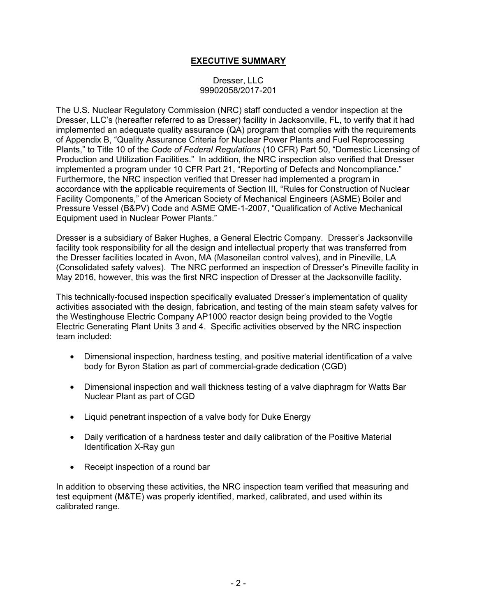# **EXECUTIVE SUMMARY**

#### Dresser, LLC 99902058/2017-201

The U.S. Nuclear Regulatory Commission (NRC) staff conducted a vendor inspection at the Dresser, LLC's (hereafter referred to as Dresser) facility in Jacksonville, FL, to verify that it had implemented an adequate quality assurance (QA) program that complies with the requirements of Appendix B, "Quality Assurance Criteria for Nuclear Power Plants and Fuel Reprocessing Plants," to Title 10 of the *Code of Federal Regulations* (10 CFR) Part 50, "Domestic Licensing of Production and Utilization Facilities." In addition, the NRC inspection also verified that Dresser implemented a program under 10 CFR Part 21, "Reporting of Defects and Noncompliance." Furthermore, the NRC inspection verified that Dresser had implemented a program in accordance with the applicable requirements of Section III, "Rules for Construction of Nuclear Facility Components," of the American Society of Mechanical Engineers (ASME) Boiler and Pressure Vessel (B&PV) Code and ASME QME-1-2007, "Qualification of Active Mechanical Equipment used in Nuclear Power Plants."

Dresser is a subsidiary of Baker Hughes, a General Electric Company. Dresser's Jacksonville facility took responsibility for all the design and intellectual property that was transferred from the Dresser facilities located in Avon, MA (Masoneilan control valves), and in Pineville, LA (Consolidated safety valves). The NRC performed an inspection of Dresser's Pineville facility in May 2016, however, this was the first NRC inspection of Dresser at the Jacksonville facility.

This technically-focused inspection specifically evaluated Dresser's implementation of quality activities associated with the design, fabrication, and testing of the main steam safety valves for the Westinghouse Electric Company AP1000 reactor design being provided to the Vogtle Electric Generating Plant Units 3 and 4. Specific activities observed by the NRC inspection team included:

- Dimensional inspection, hardness testing, and positive material identification of a valve body for Byron Station as part of commercial-grade dedication (CGD)
- Dimensional inspection and wall thickness testing of a valve diaphragm for Watts Bar Nuclear Plant as part of CGD
- Liquid penetrant inspection of a valve body for Duke Energy
- Daily verification of a hardness tester and daily calibration of the Positive Material Identification X-Ray gun
- Receipt inspection of a round bar

In addition to observing these activities, the NRC inspection team verified that measuring and test equipment (M&TE) was properly identified, marked, calibrated, and used within its calibrated range.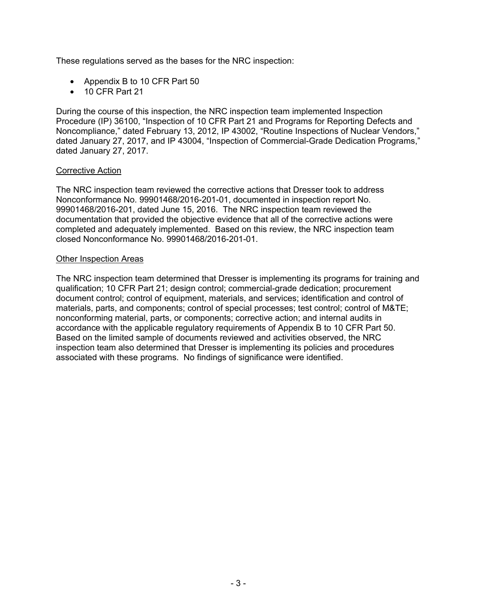These regulations served as the bases for the NRC inspection:

- Appendix B to 10 CFR Part 50
- 10 CFR Part 21

During the course of this inspection, the NRC inspection team implemented Inspection Procedure (IP) 36100, "Inspection of 10 CFR Part 21 and Programs for Reporting Defects and Noncompliance," dated February 13, 2012, IP 43002, "Routine Inspections of Nuclear Vendors," dated January 27, 2017, and IP 43004, "Inspection of Commercial-Grade Dedication Programs," dated January 27, 2017.

#### Corrective Action

The NRC inspection team reviewed the corrective actions that Dresser took to address Nonconformance No. 99901468/2016-201-01, documented in inspection report No. 99901468/2016-201, dated June 15, 2016. The NRC inspection team reviewed the documentation that provided the objective evidence that all of the corrective actions were completed and adequately implemented. Based on this review, the NRC inspection team closed Nonconformance No. 99901468/2016-201-01.

#### Other Inspection Areas

The NRC inspection team determined that Dresser is implementing its programs for training and qualification; 10 CFR Part 21; design control; commercial-grade dedication; procurement document control; control of equipment, materials, and services; identification and control of materials, parts, and components; control of special processes; test control; control of M&TE; nonconforming material, parts, or components; corrective action; and internal audits in accordance with the applicable regulatory requirements of Appendix B to 10 CFR Part 50. Based on the limited sample of documents reviewed and activities observed, the NRC inspection team also determined that Dresser is implementing its policies and procedures associated with these programs. No findings of significance were identified.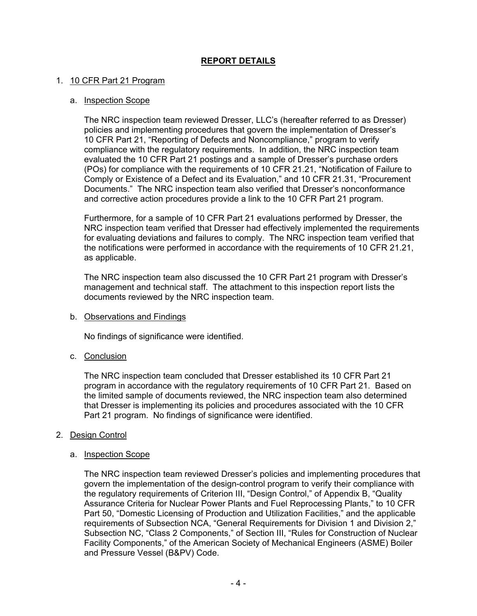# **REPORT DETAILS**

#### 1. 10 CFR Part 21 Program

#### a. Inspection Scope

The NRC inspection team reviewed Dresser, LLC's (hereafter referred to as Dresser) policies and implementing procedures that govern the implementation of Dresser's 10 CFR Part 21, "Reporting of Defects and Noncompliance," program to verify compliance with the regulatory requirements. In addition, the NRC inspection team evaluated the 10 CFR Part 21 postings and a sample of Dresser's purchase orders (POs) for compliance with the requirements of 10 CFR 21.21, "Notification of Failure to Comply or Existence of a Defect and its Evaluation," and 10 CFR 21.31, "Procurement Documents." The NRC inspection team also verified that Dresser's nonconformance and corrective action procedures provide a link to the 10 CFR Part 21 program.

Furthermore, for a sample of 10 CFR Part 21 evaluations performed by Dresser, the NRC inspection team verified that Dresser had effectively implemented the requirements for evaluating deviations and failures to comply. The NRC inspection team verified that the notifications were performed in accordance with the requirements of 10 CFR 21.21, as applicable.

The NRC inspection team also discussed the 10 CFR Part 21 program with Dresser's management and technical staff. The attachment to this inspection report lists the documents reviewed by the NRC inspection team.

#### b. Observations and Findings

No findings of significance were identified.

## c. Conclusion

The NRC inspection team concluded that Dresser established its 10 CFR Part 21 program in accordance with the regulatory requirements of 10 CFR Part 21. Based on the limited sample of documents reviewed, the NRC inspection team also determined that Dresser is implementing its policies and procedures associated with the 10 CFR Part 21 program. No findings of significance were identified.

#### 2. Design Control

#### a. Inspection Scope

The NRC inspection team reviewed Dresser's policies and implementing procedures that govern the implementation of the design-control program to verify their compliance with the regulatory requirements of Criterion III, "Design Control," of Appendix B, "Quality Assurance Criteria for Nuclear Power Plants and Fuel Reprocessing Plants," to 10 CFR Part 50, "Domestic Licensing of Production and Utilization Facilities," and the applicable requirements of Subsection NCA, "General Requirements for Division 1 and Division 2," Subsection NC, "Class 2 Components," of Section III, "Rules for Construction of Nuclear Facility Components," of the American Society of Mechanical Engineers (ASME) Boiler and Pressure Vessel (B&PV) Code.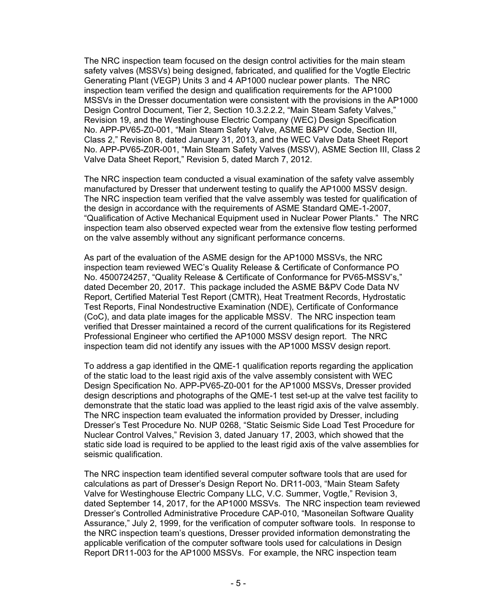The NRC inspection team focused on the design control activities for the main steam safety valves (MSSVs) being designed, fabricated, and qualified for the Vogtle Electric Generating Plant (VEGP) Units 3 and 4 AP1000 nuclear power plants. The NRC inspection team verified the design and qualification requirements for the AP1000 MSSVs in the Dresser documentation were consistent with the provisions in the AP1000 Design Control Document, Tier 2, Section 10.3.2.2.2, "Main Steam Safety Valves," Revision 19, and the Westinghouse Electric Company (WEC) Design Specification No. APP-PV65-Z0-001, "Main Steam Safety Valve, ASME B&PV Code, Section III, Class 2," Revision 8, dated January 31, 2013, and the WEC Valve Data Sheet Report No. APP-PV65-Z0R-001, "Main Steam Safety Valves (MSSV), ASME Section III, Class 2 Valve Data Sheet Report," Revision 5, dated March 7, 2012.

The NRC inspection team conducted a visual examination of the safety valve assembly manufactured by Dresser that underwent testing to qualify the AP1000 MSSV design. The NRC inspection team verified that the valve assembly was tested for qualification of the design in accordance with the requirements of ASME Standard QME-1-2007, "Qualification of Active Mechanical Equipment used in Nuclear Power Plants." The NRC inspection team also observed expected wear from the extensive flow testing performed on the valve assembly without any significant performance concerns.

As part of the evaluation of the ASME design for the AP1000 MSSVs, the NRC inspection team reviewed WEC's Quality Release & Certificate of Conformance PO No. 4500724257, "Quality Release & Certificate of Conformance for PV65-MSSV's," dated December 20, 2017. This package included the ASME B&PV Code Data NV Report, Certified Material Test Report (CMTR), Heat Treatment Records, Hydrostatic Test Reports, Final Nondestructive Examination (NDE), Certificate of Conformance (CoC), and data plate images for the applicable MSSV. The NRC inspection team verified that Dresser maintained a record of the current qualifications for its Registered Professional Engineer who certified the AP1000 MSSV design report. The NRC inspection team did not identify any issues with the AP1000 MSSV design report.

To address a gap identified in the QME-1 qualification reports regarding the application of the static load to the least rigid axis of the valve assembly consistent with WEC Design Specification No. APP-PV65-Z0-001 for the AP1000 MSSVs, Dresser provided design descriptions and photographs of the QME-1 test set-up at the valve test facility to demonstrate that the static load was applied to the least rigid axis of the valve assembly. The NRC inspection team evaluated the information provided by Dresser, including Dresser's Test Procedure No. NUP 0268, "Static Seismic Side Load Test Procedure for Nuclear Control Valves," Revision 3, dated January 17, 2003, which showed that the static side load is required to be applied to the least rigid axis of the valve assemblies for seismic qualification.

The NRC inspection team identified several computer software tools that are used for calculations as part of Dresser's Design Report No. DR11-003, "Main Steam Safety Valve for Westinghouse Electric Company LLC, V.C. Summer, Vogtle," Revision 3, dated September 14, 2017, for the AP1000 MSSVs. The NRC inspection team reviewed Dresser's Controlled Administrative Procedure CAP-010, "Masoneilan Software Quality Assurance," July 2, 1999, for the verification of computer software tools. In response to the NRC inspection team's questions, Dresser provided information demonstrating the applicable verification of the computer software tools used for calculations in Design Report DR11-003 for the AP1000 MSSVs. For example, the NRC inspection team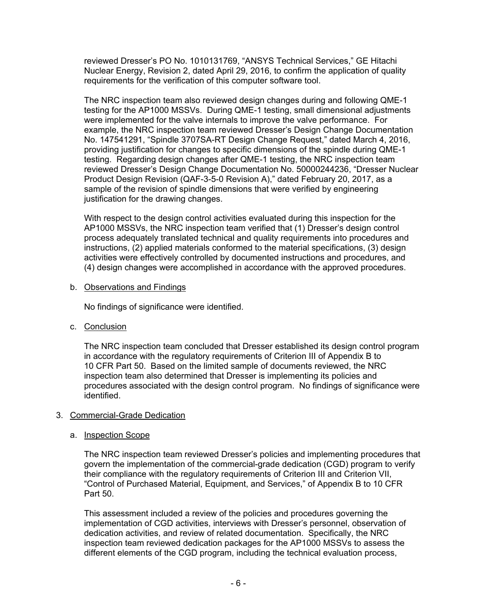reviewed Dresser's PO No. 1010131769, "ANSYS Technical Services," GE Hitachi Nuclear Energy, Revision 2, dated April 29, 2016, to confirm the application of quality requirements for the verification of this computer software tool.

The NRC inspection team also reviewed design changes during and following QME-1 testing for the AP1000 MSSVs. During QME-1 testing, small dimensional adjustments were implemented for the valve internals to improve the valve performance. For example, the NRC inspection team reviewed Dresser's Design Change Documentation No. 147541291, "Spindle 3707SA-RT Design Change Request," dated March 4, 2016, providing justification for changes to specific dimensions of the spindle during QME-1 testing. Regarding design changes after QME-1 testing, the NRC inspection team reviewed Dresser's Design Change Documentation No. 50000244236, "Dresser Nuclear Product Design Revision (QAF-3-5-0 Revision A)," dated February 20, 2017, as a sample of the revision of spindle dimensions that were verified by engineering justification for the drawing changes.

With respect to the design control activities evaluated during this inspection for the AP1000 MSSVs, the NRC inspection team verified that (1) Dresser's design control process adequately translated technical and quality requirements into procedures and instructions, (2) applied materials conformed to the material specifications, (3) design activities were effectively controlled by documented instructions and procedures, and (4) design changes were accomplished in accordance with the approved procedures.

b. Observations and Findings

No findings of significance were identified.

c. Conclusion

The NRC inspection team concluded that Dresser established its design control program in accordance with the regulatory requirements of Criterion III of Appendix B to 10 CFR Part 50. Based on the limited sample of documents reviewed, the NRC inspection team also determined that Dresser is implementing its policies and procedures associated with the design control program. No findings of significance were identified.

## 3. Commercial-Grade Dedication

#### a. Inspection Scope

The NRC inspection team reviewed Dresser's policies and implementing procedures that govern the implementation of the commercial-grade dedication (CGD) program to verify their compliance with the regulatory requirements of Criterion III and Criterion VII, "Control of Purchased Material, Equipment, and Services," of Appendix B to 10 CFR Part 50.

This assessment included a review of the policies and procedures governing the implementation of CGD activities, interviews with Dresser's personnel, observation of dedication activities, and review of related documentation. Specifically, the NRC inspection team reviewed dedication packages for the AP1000 MSSVs to assess the different elements of the CGD program, including the technical evaluation process,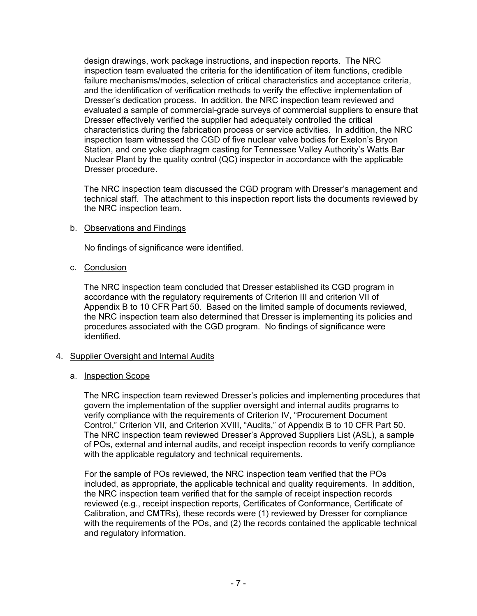design drawings, work package instructions, and inspection reports. The NRC inspection team evaluated the criteria for the identification of item functions, credible failure mechanisms/modes, selection of critical characteristics and acceptance criteria, and the identification of verification methods to verify the effective implementation of Dresser's dedication process. In addition, the NRC inspection team reviewed and evaluated a sample of commercial-grade surveys of commercial suppliers to ensure that Dresser effectively verified the supplier had adequately controlled the critical characteristics during the fabrication process or service activities. In addition, the NRC inspection team witnessed the CGD of five nuclear valve bodies for Exelon's Bryon Station, and one yoke diaphragm casting for Tennessee Valley Authority's Watts Bar Nuclear Plant by the quality control (QC) inspector in accordance with the applicable Dresser procedure.

The NRC inspection team discussed the CGD program with Dresser's management and technical staff. The attachment to this inspection report lists the documents reviewed by the NRC inspection team.

## b. Observations and Findings

No findings of significance were identified.

c. Conclusion

The NRC inspection team concluded that Dresser established its CGD program in accordance with the regulatory requirements of Criterion III and criterion VII of Appendix B to 10 CFR Part 50. Based on the limited sample of documents reviewed, the NRC inspection team also determined that Dresser is implementing its policies and procedures associated with the CGD program. No findings of significance were identified.

## 4. Supplier Oversight and Internal Audits

#### a. Inspection Scope

The NRC inspection team reviewed Dresser's policies and implementing procedures that govern the implementation of the supplier oversight and internal audits programs to verify compliance with the requirements of Criterion IV, "Procurement Document Control," Criterion VII, and Criterion XVIII, "Audits," of Appendix B to 10 CFR Part 50. The NRC inspection team reviewed Dresser's Approved Suppliers List (ASL), a sample of POs, external and internal audits, and receipt inspection records to verify compliance with the applicable regulatory and technical requirements.

For the sample of POs reviewed, the NRC inspection team verified that the POs included, as appropriate, the applicable technical and quality requirements. In addition, the NRC inspection team verified that for the sample of receipt inspection records reviewed (e.g., receipt inspection reports, Certificates of Conformance, Certificate of Calibration, and CMTRs), these records were (1) reviewed by Dresser for compliance with the requirements of the POs, and (2) the records contained the applicable technical and regulatory information.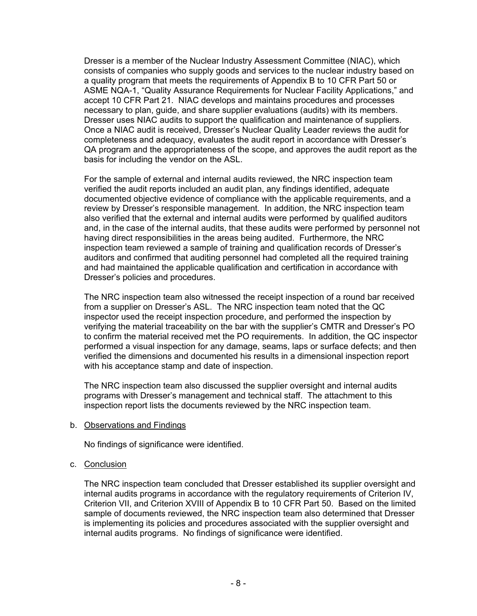Dresser is a member of the Nuclear Industry Assessment Committee (NIAC), which consists of companies who supply goods and services to the nuclear industry based on a quality program that meets the requirements of Appendix B to 10 CFR Part 50 or ASME NQA-1, "Quality Assurance Requirements for Nuclear Facility Applications," and accept 10 CFR Part 21. NIAC develops and maintains procedures and processes necessary to plan, guide, and share supplier evaluations (audits) with its members. Dresser uses NIAC audits to support the qualification and maintenance of suppliers. Once a NIAC audit is received, Dresser's Nuclear Quality Leader reviews the audit for completeness and adequacy, evaluates the audit report in accordance with Dresser's QA program and the appropriateness of the scope, and approves the audit report as the basis for including the vendor on the ASL.

For the sample of external and internal audits reviewed, the NRC inspection team verified the audit reports included an audit plan, any findings identified, adequate documented objective evidence of compliance with the applicable requirements, and a review by Dresser's responsible management. In addition, the NRC inspection team also verified that the external and internal audits were performed by qualified auditors and, in the case of the internal audits, that these audits were performed by personnel not having direct responsibilities in the areas being audited. Furthermore, the NRC inspection team reviewed a sample of training and qualification records of Dresser's auditors and confirmed that auditing personnel had completed all the required training and had maintained the applicable qualification and certification in accordance with Dresser's policies and procedures.

The NRC inspection team also witnessed the receipt inspection of a round bar received from a supplier on Dresser's ASL. The NRC inspection team noted that the QC inspector used the receipt inspection procedure, and performed the inspection by verifying the material traceability on the bar with the supplier's CMTR and Dresser's PO to confirm the material received met the PO requirements. In addition, the QC inspector performed a visual inspection for any damage, seams, laps or surface defects; and then verified the dimensions and documented his results in a dimensional inspection report with his acceptance stamp and date of inspection.

The NRC inspection team also discussed the supplier oversight and internal audits programs with Dresser's management and technical staff. The attachment to this inspection report lists the documents reviewed by the NRC inspection team.

b. Observations and Findings

No findings of significance were identified.

c. Conclusion

The NRC inspection team concluded that Dresser established its supplier oversight and internal audits programs in accordance with the regulatory requirements of Criterion IV, Criterion VII, and Criterion XVIII of Appendix B to 10 CFR Part 50. Based on the limited sample of documents reviewed, the NRC inspection team also determined that Dresser is implementing its policies and procedures associated with the supplier oversight and internal audits programs. No findings of significance were identified.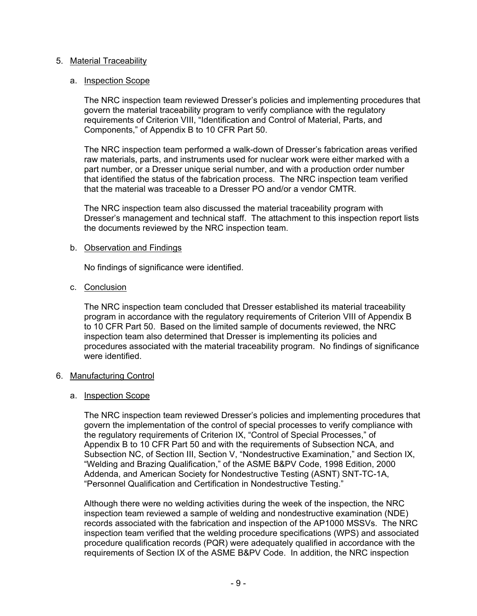#### 5. Material Traceability

#### a. Inspection Scope

The NRC inspection team reviewed Dresser's policies and implementing procedures that govern the material traceability program to verify compliance with the regulatory requirements of Criterion VIII, "Identification and Control of Material, Parts, and Components," of Appendix B to 10 CFR Part 50.

The NRC inspection team performed a walk-down of Dresser's fabrication areas verified raw materials, parts, and instruments used for nuclear work were either marked with a part number, or a Dresser unique serial number, and with a production order number that identified the status of the fabrication process. The NRC inspection team verified that the material was traceable to a Dresser PO and/or a vendor CMTR.

The NRC inspection team also discussed the material traceability program with Dresser's management and technical staff. The attachment to this inspection report lists the documents reviewed by the NRC inspection team.

#### b. Observation and Findings

No findings of significance were identified.

#### c. Conclusion

The NRC inspection team concluded that Dresser established its material traceability program in accordance with the regulatory requirements of Criterion VIII of Appendix B to 10 CFR Part 50. Based on the limited sample of documents reviewed, the NRC inspection team also determined that Dresser is implementing its policies and procedures associated with the material traceability program. No findings of significance were identified.

#### 6. Manufacturing Control

#### a. Inspection Scope

The NRC inspection team reviewed Dresser's policies and implementing procedures that govern the implementation of the control of special processes to verify compliance with the regulatory requirements of Criterion IX, "Control of Special Processes," of Appendix B to 10 CFR Part 50 and with the requirements of Subsection NCA, and Subsection NC, of Section III, Section V, "Nondestructive Examination," and Section IX, "Welding and Brazing Qualification," of the ASME B&PV Code, 1998 Edition, 2000 Addenda, and American Society for Nondestructive Testing (ASNT) SNT-TC-1A, "Personnel Qualification and Certification in Nondestructive Testing."

Although there were no welding activities during the week of the inspection, the NRC inspection team reviewed a sample of welding and nondestructive examination (NDE) records associated with the fabrication and inspection of the AP1000 MSSVs. The NRC inspection team verified that the welding procedure specifications (WPS) and associated procedure qualification records (PQR) were adequately qualified in accordance with the requirements of Section IX of the ASME B&PV Code. In addition, the NRC inspection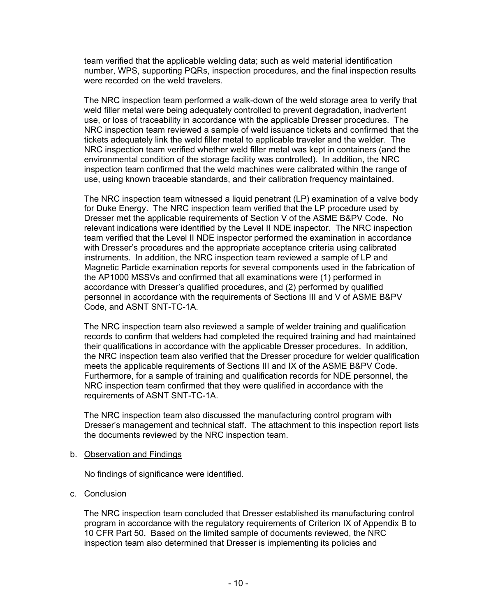team verified that the applicable welding data; such as weld material identification number, WPS, supporting PQRs, inspection procedures, and the final inspection results were recorded on the weld travelers.

The NRC inspection team performed a walk-down of the weld storage area to verify that weld filler metal were being adequately controlled to prevent degradation, inadvertent use, or loss of traceability in accordance with the applicable Dresser procedures. The NRC inspection team reviewed a sample of weld issuance tickets and confirmed that the tickets adequately link the weld filler metal to applicable traveler and the welder. The NRC inspection team verified whether weld filler metal was kept in containers (and the environmental condition of the storage facility was controlled). In addition, the NRC inspection team confirmed that the weld machines were calibrated within the range of use, using known traceable standards, and their calibration frequency maintained.

The NRC inspection team witnessed a liquid penetrant (LP) examination of a valve body for Duke Energy. The NRC inspection team verified that the LP procedure used by Dresser met the applicable requirements of Section V of the ASME B&PV Code. No relevant indications were identified by the Level II NDE inspector. The NRC inspection team verified that the Level II NDE inspector performed the examination in accordance with Dresser's procedures and the appropriate acceptance criteria using calibrated instruments. In addition, the NRC inspection team reviewed a sample of LP and Magnetic Particle examination reports for several components used in the fabrication of the AP1000 MSSVs and confirmed that all examinations were (1) performed in accordance with Dresser's qualified procedures, and (2) performed by qualified personnel in accordance with the requirements of Sections III and V of ASME B&PV Code, and ASNT SNT-TC-1A.

The NRC inspection team also reviewed a sample of welder training and qualification records to confirm that welders had completed the required training and had maintained their qualifications in accordance with the applicable Dresser procedures. In addition, the NRC inspection team also verified that the Dresser procedure for welder qualification meets the applicable requirements of Sections III and IX of the ASME B&PV Code. Furthermore, for a sample of training and qualification records for NDE personnel, the NRC inspection team confirmed that they were qualified in accordance with the requirements of ASNT SNT-TC-1A.

The NRC inspection team also discussed the manufacturing control program with Dresser's management and technical staff. The attachment to this inspection report lists the documents reviewed by the NRC inspection team.

#### b. Observation and Findings

No findings of significance were identified.

## c. Conclusion

The NRC inspection team concluded that Dresser established its manufacturing control program in accordance with the regulatory requirements of Criterion IX of Appendix B to 10 CFR Part 50. Based on the limited sample of documents reviewed, the NRC inspection team also determined that Dresser is implementing its policies and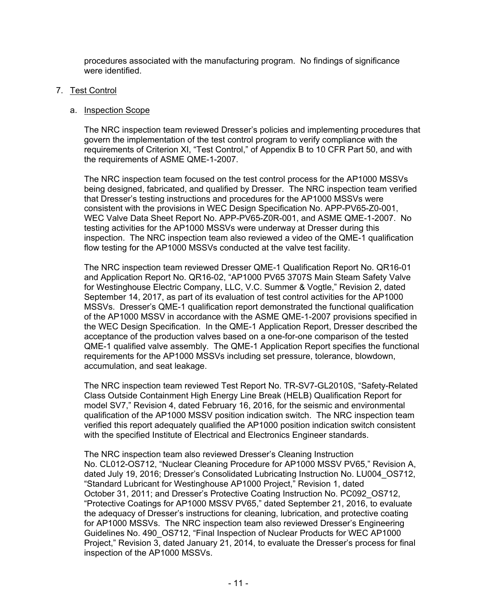procedures associated with the manufacturing program. No findings of significance were identified

## 7. Test Control

#### a. Inspection Scope

The NRC inspection team reviewed Dresser's policies and implementing procedures that govern the implementation of the test control program to verify compliance with the requirements of Criterion XI, "Test Control," of Appendix B to 10 CFR Part 50, and with the requirements of ASME QME-1-2007.

The NRC inspection team focused on the test control process for the AP1000 MSSVs being designed, fabricated, and qualified by Dresser. The NRC inspection team verified that Dresser's testing instructions and procedures for the AP1000 MSSVs were consistent with the provisions in WEC Design Specification No. APP-PV65-Z0-001, WEC Valve Data Sheet Report No. APP-PV65-Z0R-001, and ASME QME-1-2007. No testing activities for the AP1000 MSSVs were underway at Dresser during this inspection. The NRC inspection team also reviewed a video of the QME-1 qualification flow testing for the AP1000 MSSVs conducted at the valve test facility.

The NRC inspection team reviewed Dresser QME-1 Qualification Report No. QR16-01 and Application Report No. QR16-02, "AP1000 PV65 3707S Main Steam Safety Valve for Westinghouse Electric Company, LLC, V.C. Summer & Vogtle," Revision 2, dated September 14, 2017, as part of its evaluation of test control activities for the AP1000 MSSVs. Dresser's QME-1 qualification report demonstrated the functional qualification of the AP1000 MSSV in accordance with the ASME QME-1-2007 provisions specified in the WEC Design Specification. In the QME-1 Application Report, Dresser described the acceptance of the production valves based on a one-for-one comparison of the tested QME-1 qualified valve assembly. The QME-1 Application Report specifies the functional requirements for the AP1000 MSSVs including set pressure, tolerance, blowdown, accumulation, and seat leakage.

The NRC inspection team reviewed Test Report No. TR-SV7-GL2010S, "Safety-Related Class Outside Containment High Energy Line Break (HELB) Qualification Report for model SV7," Revision 4, dated February 16, 2016, for the seismic and environmental qualification of the AP1000 MSSV position indication switch. The NRC inspection team verified this report adequately qualified the AP1000 position indication switch consistent with the specified Institute of Electrical and Electronics Engineer standards.

The NRC inspection team also reviewed Dresser's Cleaning Instruction No. CL012-OS712, "Nuclear Cleaning Procedure for AP1000 MSSV PV65," Revision A, dated July 19, 2016; Dresser's Consolidated Lubricating Instruction No. LU004\_OS712, "Standard Lubricant for Westinghouse AP1000 Project," Revision 1, dated October 31, 2011; and Dresser's Protective Coating Instruction No. PC092\_OS712, "Protective Coatings for AP1000 MSSV PV65," dated September 21, 2016, to evaluate the adequacy of Dresser's instructions for cleaning, lubrication, and protective coating for AP1000 MSSVs. The NRC inspection team also reviewed Dresser's Engineering Guidelines No. 490\_OS712, "Final Inspection of Nuclear Products for WEC AP1000 Project," Revision 3, dated January 21, 2014, to evaluate the Dresser's process for final inspection of the AP1000 MSSVs.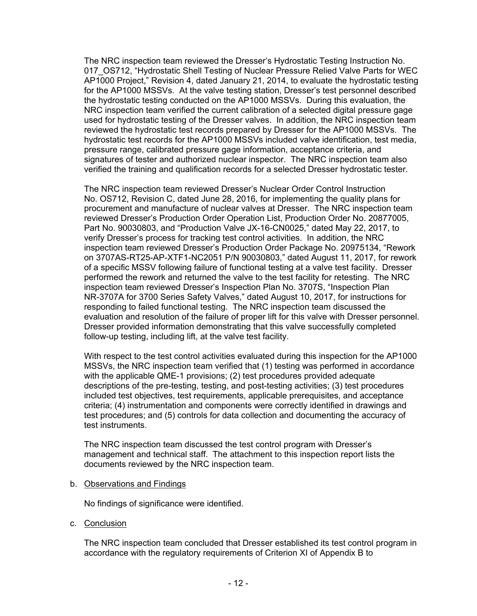The NRC inspection team reviewed the Dresser's Hydrostatic Testing Instruction No. 017 OS712, "Hydrostatic Shell Testing of Nuclear Pressure Relied Valve Parts for WEC AP1000 Project," Revision 4, dated January 21, 2014, to evaluate the hydrostatic testing for the AP1000 MSSVs. At the valve testing station, Dresser's test personnel described the hydrostatic testing conducted on the AP1000 MSSVs. During this evaluation, the NRC inspection team verified the current calibration of a selected digital pressure gage used for hydrostatic testing of the Dresser valves. In addition, the NRC inspection team reviewed the hydrostatic test records prepared by Dresser for the AP1000 MSSVs. The hydrostatic test records for the AP1000 MSSVs included valve identification, test media, pressure range, calibrated pressure gage information, acceptance criteria, and signatures of tester and authorized nuclear inspector. The NRC inspection team also verified the training and qualification records for a selected Dresser hydrostatic tester.

The NRC inspection team reviewed Dresser's Nuclear Order Control Instruction No. OS712, Revision C, dated June 28, 2016, for implementing the quality plans for procurement and manufacture of nuclear valves at Dresser. The NRC inspection team reviewed Dresser's Production Order Operation List, Production Order No. 20877005, Part No. 90030803, and "Production Valve JX-16-CN0025," dated May 22, 2017, to verify Dresser's process for tracking test control activities. In addition, the NRC inspection team reviewed Dresser's Production Order Package No. 20975134, "Rework on 3707AS-RT25-AP-XTF1-NC2051 P/N 90030803," dated August 11, 2017, for rework of a specific MSSV following failure of functional testing at a valve test facility. Dresser performed the rework and returned the valve to the test facility for retesting. The NRC inspection team reviewed Dresser's Inspection Plan No. 3707S, "Inspection Plan NR-3707A for 3700 Series Safety Valves," dated August 10, 2017, for instructions for responding to failed functional testing. The NRC inspection team discussed the evaluation and resolution of the failure of proper lift for this valve with Dresser personnel. Dresser provided information demonstrating that this valve successfully completed follow-up testing, including lift, at the valve test facility.

With respect to the test control activities evaluated during this inspection for the AP1000 MSSVs, the NRC inspection team verified that (1) testing was performed in accordance with the applicable QME-1 provisions; (2) test procedures provided adequate descriptions of the pre-testing, testing, and post-testing activities; (3) test procedures included test objectives, test requirements, applicable prerequisites, and acceptance criteria; (4) instrumentation and components were correctly identified in drawings and test procedures; and (5) controls for data collection and documenting the accuracy of test instruments.

The NRC inspection team discussed the test control program with Dresser's management and technical staff. The attachment to this inspection report lists the documents reviewed by the NRC inspection team.

#### b. Observations and Findings

No findings of significance were identified.

c. Conclusion

The NRC inspection team concluded that Dresser established its test control program in accordance with the regulatory requirements of Criterion XI of Appendix B to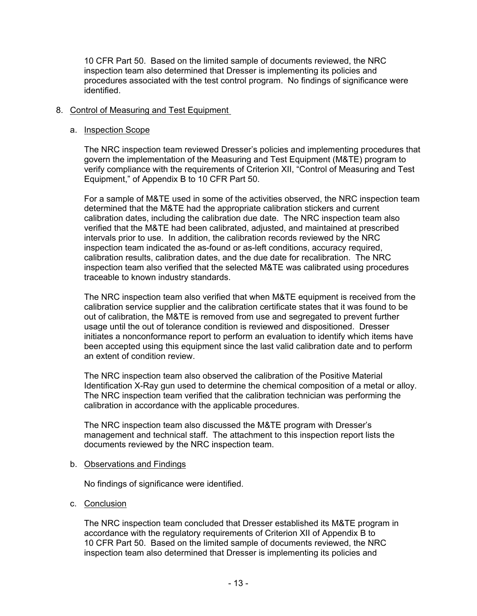10 CFR Part 50. Based on the limited sample of documents reviewed, the NRC inspection team also determined that Dresser is implementing its policies and procedures associated with the test control program. No findings of significance were identified.

## 8. Control of Measuring and Test Equipment

#### a. Inspection Scope

The NRC inspection team reviewed Dresser's policies and implementing procedures that govern the implementation of the Measuring and Test Equipment (M&TE) program to verify compliance with the requirements of Criterion XII, "Control of Measuring and Test Equipment," of Appendix B to 10 CFR Part 50.

For a sample of M&TE used in some of the activities observed, the NRC inspection team determined that the M&TE had the appropriate calibration stickers and current calibration dates, including the calibration due date. The NRC inspection team also verified that the M&TE had been calibrated, adjusted, and maintained at prescribed intervals prior to use. In addition, the calibration records reviewed by the NRC inspection team indicated the as-found or as-left conditions, accuracy required, calibration results, calibration dates, and the due date for recalibration. The NRC inspection team also verified that the selected M&TE was calibrated using procedures traceable to known industry standards.

The NRC inspection team also verified that when M&TE equipment is received from the calibration service supplier and the calibration certificate states that it was found to be out of calibration, the M&TE is removed from use and segregated to prevent further usage until the out of tolerance condition is reviewed and dispositioned. Dresser initiates a nonconformance report to perform an evaluation to identify which items have been accepted using this equipment since the last valid calibration date and to perform an extent of condition review.

The NRC inspection team also observed the calibration of the Positive Material Identification X-Ray gun used to determine the chemical composition of a metal or alloy. The NRC inspection team verified that the calibration technician was performing the calibration in accordance with the applicable procedures.

The NRC inspection team also discussed the M&TE program with Dresser's management and technical staff. The attachment to this inspection report lists the documents reviewed by the NRC inspection team.

#### b. Observations and Findings

No findings of significance were identified.

## c. Conclusion

The NRC inspection team concluded that Dresser established its M&TE program in accordance with the regulatory requirements of Criterion XII of Appendix B to 10 CFR Part 50. Based on the limited sample of documents reviewed, the NRC inspection team also determined that Dresser is implementing its policies and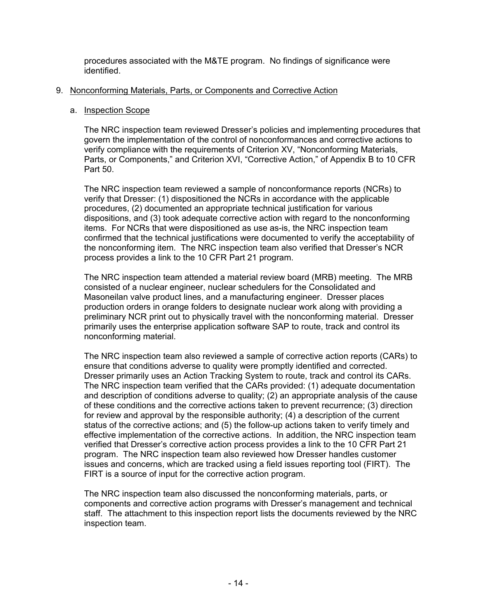procedures associated with the M&TE program. No findings of significance were identified.

# 9. Nonconforming Materials, Parts, or Components and Corrective Action

#### a. Inspection Scope

The NRC inspection team reviewed Dresser's policies and implementing procedures that govern the implementation of the control of nonconformances and corrective actions to verify compliance with the requirements of Criterion XV, "Nonconforming Materials, Parts, or Components," and Criterion XVI, "Corrective Action," of Appendix B to 10 CFR Part 50.

The NRC inspection team reviewed a sample of nonconformance reports (NCRs) to verify that Dresser: (1) dispositioned the NCRs in accordance with the applicable procedures, (2) documented an appropriate technical justification for various dispositions, and (3) took adequate corrective action with regard to the nonconforming items. For NCRs that were dispositioned as use as-is, the NRC inspection team confirmed that the technical justifications were documented to verify the acceptability of the nonconforming item. The NRC inspection team also verified that Dresser's NCR process provides a link to the 10 CFR Part 21 program.

The NRC inspection team attended a material review board (MRB) meeting. The MRB consisted of a nuclear engineer, nuclear schedulers for the Consolidated and Masoneilan valve product lines, and a manufacturing engineer. Dresser places production orders in orange folders to designate nuclear work along with providing a preliminary NCR print out to physically travel with the nonconforming material. Dresser primarily uses the enterprise application software SAP to route, track and control its nonconforming material.

The NRC inspection team also reviewed a sample of corrective action reports (CARs) to ensure that conditions adverse to quality were promptly identified and corrected. Dresser primarily uses an Action Tracking System to route, track and control its CARs. The NRC inspection team verified that the CARs provided: (1) adequate documentation and description of conditions adverse to quality; (2) an appropriate analysis of the cause of these conditions and the corrective actions taken to prevent recurrence; (3) direction for review and approval by the responsible authority; (4) a description of the current status of the corrective actions; and (5) the follow-up actions taken to verify timely and effective implementation of the corrective actions. In addition, the NRC inspection team verified that Dresser's corrective action process provides a link to the 10 CFR Part 21 program. The NRC inspection team also reviewed how Dresser handles customer issues and concerns, which are tracked using a field issues reporting tool (FIRT). The FIRT is a source of input for the corrective action program.

The NRC inspection team also discussed the nonconforming materials, parts, or components and corrective action programs with Dresser's management and technical staff. The attachment to this inspection report lists the documents reviewed by the NRC inspection team.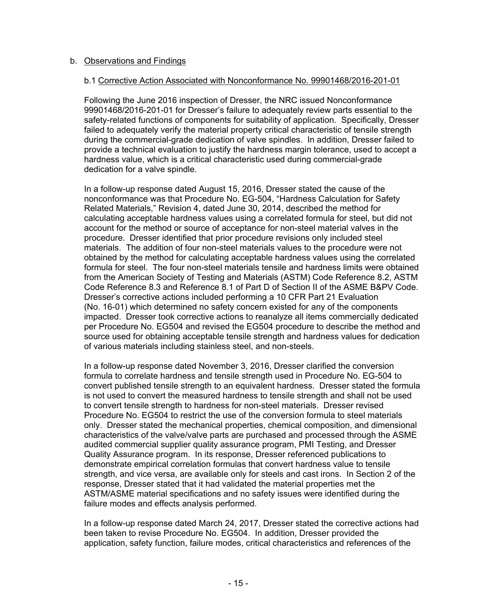## b. Observations and Findings

#### b.1 Corrective Action Associated with Nonconformance No. 99901468/2016-201-01

Following the June 2016 inspection of Dresser, the NRC issued Nonconformance 99901468/2016-201-01 for Dresser's failure to adequately review parts essential to the safety-related functions of components for suitability of application. Specifically, Dresser failed to adequately verify the material property critical characteristic of tensile strength during the commercial-grade dedication of valve spindles. In addition, Dresser failed to provide a technical evaluation to justify the hardness margin tolerance, used to accept a hardness value, which is a critical characteristic used during commercial-grade dedication for a valve spindle.

In a follow-up response dated August 15, 2016, Dresser stated the cause of the nonconformance was that Procedure No. EG-504, "Hardness Calculation for Safety Related Materials," Revision 4, dated June 30, 2014, described the method for calculating acceptable hardness values using a correlated formula for steel, but did not account for the method or source of acceptance for non-steel material valves in the procedure. Dresser identified that prior procedure revisions only included steel materials. The addition of four non-steel materials values to the procedure were not obtained by the method for calculating acceptable hardness values using the correlated formula for steel. The four non-steel materials tensile and hardness limits were obtained from the American Society of Testing and Materials (ASTM) Code Reference 8.2, ASTM Code Reference 8.3 and Reference 8.1 of Part D of Section II of the ASME B&PV Code. Dresser's corrective actions included performing a 10 CFR Part 21 Evaluation (No. 16-01) which determined no safety concern existed for any of the components impacted. Dresser took corrective actions to reanalyze all items commercially dedicated per Procedure No. EG504 and revised the EG504 procedure to describe the method and source used for obtaining acceptable tensile strength and hardness values for dedication of various materials including stainless steel, and non-steels.

In a follow-up response dated November 3, 2016, Dresser clarified the conversion formula to correlate hardness and tensile strength used in Procedure No. EG-504 to convert published tensile strength to an equivalent hardness. Dresser stated the formula is not used to convert the measured hardness to tensile strength and shall not be used to convert tensile strength to hardness for non-steel materials. Dresser revised Procedure No. EG504 to restrict the use of the conversion formula to steel materials only. Dresser stated the mechanical properties, chemical composition, and dimensional characteristics of the valve/valve parts are purchased and processed through the ASME audited commercial supplier quality assurance program, PMI Testing, and Dresser Quality Assurance program. In its response, Dresser referenced publications to demonstrate empirical correlation formulas that convert hardness value to tensile strength, and vice versa, are available only for steels and cast irons. In Section 2 of the response, Dresser stated that it had validated the material properties met the ASTM/ASME material specifications and no safety issues were identified during the failure modes and effects analysis performed.

In a follow-up response dated March 24, 2017, Dresser stated the corrective actions had been taken to revise Procedure No. EG504. In addition, Dresser provided the application, safety function, failure modes, critical characteristics and references of the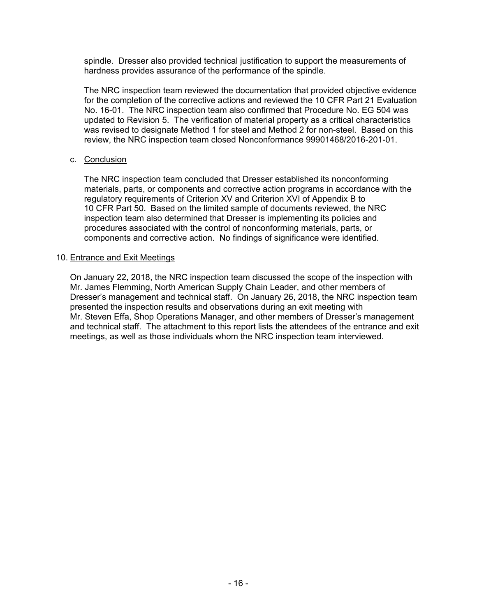spindle. Dresser also provided technical justification to support the measurements of hardness provides assurance of the performance of the spindle.

The NRC inspection team reviewed the documentation that provided objective evidence for the completion of the corrective actions and reviewed the 10 CFR Part 21 Evaluation No. 16-01. The NRC inspection team also confirmed that Procedure No. EG 504 was updated to Revision 5. The verification of material property as a critical characteristics was revised to designate Method 1 for steel and Method 2 for non-steel. Based on this review, the NRC inspection team closed Nonconformance 99901468/2016-201-01.

#### c. Conclusion

The NRC inspection team concluded that Dresser established its nonconforming materials, parts, or components and corrective action programs in accordance with the regulatory requirements of Criterion XV and Criterion XVI of Appendix B to 10 CFR Part 50. Based on the limited sample of documents reviewed, the NRC inspection team also determined that Dresser is implementing its policies and procedures associated with the control of nonconforming materials, parts, or components and corrective action. No findings of significance were identified.

#### 10. Entrance and Exit Meetings

On January 22, 2018, the NRC inspection team discussed the scope of the inspection with Mr. James Flemming, North American Supply Chain Leader, and other members of Dresser's management and technical staff. On January 26, 2018, the NRC inspection team presented the inspection results and observations during an exit meeting with Mr. Steven Effa, Shop Operations Manager, and other members of Dresser's management and technical staff. The attachment to this report lists the attendees of the entrance and exit meetings, as well as those individuals whom the NRC inspection team interviewed.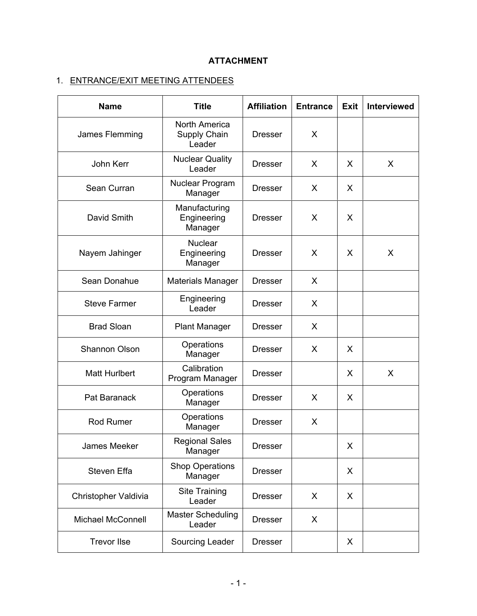# **ATTACHMENT**

# 1. ENTRANCE/EXIT MEETING ATTENDEES

| <b>Name</b>              | <b>Title</b>                                   | <b>Affiliation</b> | <b>Entrance</b> | <b>Exit</b> | <b>Interviewed</b> |
|--------------------------|------------------------------------------------|--------------------|-----------------|-------------|--------------------|
| James Flemming           | <b>North America</b><br>Supply Chain<br>Leader | <b>Dresser</b>     | X               |             |                    |
| John Kerr                | <b>Nuclear Quality</b><br>Leader               | <b>Dresser</b>     | X               | X           | X                  |
| Sean Curran              | Nuclear Program<br>Manager                     | <b>Dresser</b>     | X               | X           |                    |
| David Smith              | Manufacturing<br>Engineering<br>Manager        | <b>Dresser</b>     | X               | X           |                    |
| Nayem Jahinger           | <b>Nuclear</b><br>Engineering<br>Manager       | <b>Dresser</b>     | X               | X           | X                  |
| Sean Donahue             | <b>Materials Manager</b>                       | <b>Dresser</b>     | X               |             |                    |
| <b>Steve Farmer</b>      | Engineering<br>Leader                          | <b>Dresser</b>     | X               |             |                    |
| <b>Brad Sloan</b>        | <b>Plant Manager</b>                           | <b>Dresser</b>     | X               |             |                    |
| <b>Shannon Olson</b>     | Operations<br>Manager                          | <b>Dresser</b>     | X               | X           |                    |
| <b>Matt Hurlbert</b>     | Calibration<br>Program Manager                 | <b>Dresser</b>     |                 | X           | X                  |
| Pat Baranack             | Operations<br>Manager                          | <b>Dresser</b>     | X               | X           |                    |
| <b>Rod Rumer</b>         | Operations<br>Manager                          | <b>Dresser</b>     | X               |             |                    |
| James Meeker             | <b>Regional Sales</b><br>Manager               | <b>Dresser</b>     |                 | X           |                    |
| Steven Effa              | <b>Shop Operations</b><br>Manager              | <b>Dresser</b>     |                 | X           |                    |
| Christopher Valdivia     | Site Training<br>Leader                        | <b>Dresser</b>     | X               | X           |                    |
| <b>Michael McConnell</b> | <b>Master Scheduling</b><br>Leader             | <b>Dresser</b>     | X               |             |                    |
| <b>Trevor Ilse</b>       | Sourcing Leader                                | <b>Dresser</b>     |                 | X           |                    |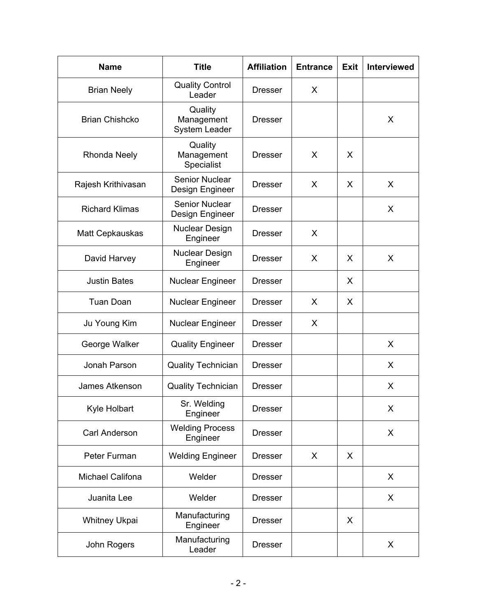| <b>Name</b>             | <b>Title</b>                                  | <b>Affiliation</b> | <b>Entrance</b> | <b>Exit</b> | <b>Interviewed</b> |
|-------------------------|-----------------------------------------------|--------------------|-----------------|-------------|--------------------|
| <b>Brian Neely</b>      | <b>Quality Control</b><br>Leader              | <b>Dresser</b>     | X               |             |                    |
| <b>Brian Chishcko</b>   | Quality<br>Management<br><b>System Leader</b> | Dresser            |                 |             | X                  |
| <b>Rhonda Neely</b>     | Quality<br>Management<br>Specialist           | <b>Dresser</b>     | X               | X           |                    |
| Rajesh Krithivasan      | Senior Nuclear<br>Design Engineer             | <b>Dresser</b>     | X               | X           | X                  |
| <b>Richard Klimas</b>   | Senior Nuclear<br>Design Engineer             | <b>Dresser</b>     |                 |             | X                  |
| <b>Matt Cepkauskas</b>  | <b>Nuclear Design</b><br>Engineer             | <b>Dresser</b>     | X               |             |                    |
| David Harvey            | <b>Nuclear Design</b><br>Engineer             | <b>Dresser</b>     | X               | X           | X                  |
| <b>Justin Bates</b>     | <b>Nuclear Engineer</b>                       | <b>Dresser</b>     |                 | X           |                    |
| <b>Tuan Doan</b>        | <b>Nuclear Engineer</b>                       | <b>Dresser</b>     | X               | X           |                    |
| Ju Young Kim            | <b>Nuclear Engineer</b>                       | <b>Dresser</b>     | X               |             |                    |
| George Walker           | <b>Quality Engineer</b>                       | <b>Dresser</b>     |                 |             | X                  |
| Jonah Parson            | <b>Quality Technician</b>                     | <b>Dresser</b>     |                 |             | X                  |
| James Atkenson          | <b>Quality Technician</b>                     | <b>Dresser</b>     |                 |             | X                  |
| Kyle Holbart            | Sr. Welding<br>Engineer                       | <b>Dresser</b>     |                 |             | X                  |
| Carl Anderson           | <b>Welding Process</b><br>Engineer            | <b>Dresser</b>     |                 |             | X                  |
| Peter Furman            | <b>Welding Engineer</b>                       | <b>Dresser</b>     | X               | X           |                    |
| <b>Michael Califona</b> | Welder                                        | <b>Dresser</b>     |                 |             | X                  |
| Juanita Lee             | Welder                                        | <b>Dresser</b>     |                 |             | X                  |
| <b>Whitney Ukpai</b>    | Manufacturing<br>Engineer                     | <b>Dresser</b>     |                 | X           |                    |
| John Rogers             | Manufacturing<br>Leader                       | <b>Dresser</b>     |                 |             | X                  |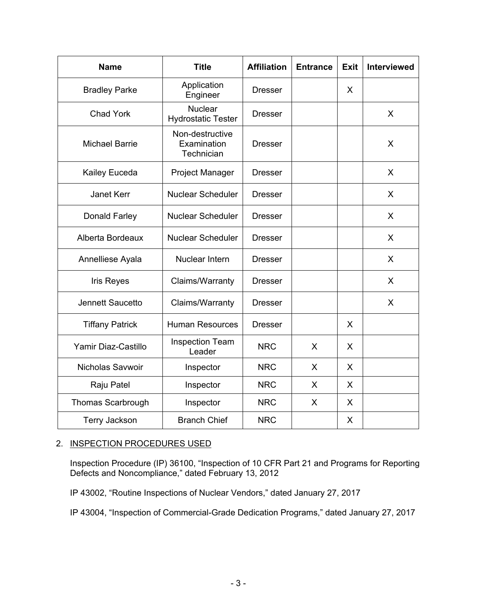| <b>Name</b>              | <b>Title</b>                                 | <b>Affiliation</b> | <b>Entrance</b> | <b>Exit</b> | <b>Interviewed</b> |
|--------------------------|----------------------------------------------|--------------------|-----------------|-------------|--------------------|
| <b>Bradley Parke</b>     | Application<br>Engineer                      | <b>Dresser</b>     |                 | X           |                    |
| <b>Chad York</b>         | Nuclear<br><b>Hydrostatic Tester</b>         | <b>Dresser</b>     |                 |             | X                  |
| <b>Michael Barrie</b>    | Non-destructive<br>Examination<br>Technician | <b>Dresser</b>     |                 |             | X                  |
| Kailey Euceda            | <b>Project Manager</b>                       | <b>Dresser</b>     |                 |             | X                  |
| <b>Janet Kerr</b>        | Nuclear Scheduler                            | <b>Dresser</b>     |                 |             | X                  |
| Donald Farley            | <b>Nuclear Scheduler</b>                     | <b>Dresser</b>     |                 |             | X                  |
| Alberta Bordeaux         | <b>Nuclear Scheduler</b>                     | <b>Dresser</b>     |                 |             | X                  |
| Annelliese Ayala         | Nuclear Intern                               | <b>Dresser</b>     |                 |             | X                  |
| <b>Iris Reyes</b>        | Claims/Warranty                              | <b>Dresser</b>     |                 |             | X                  |
| Jennett Saucetto         | Claims/Warranty                              | <b>Dresser</b>     |                 |             | X                  |
| <b>Tiffany Patrick</b>   | <b>Human Resources</b>                       | <b>Dresser</b>     |                 | X           |                    |
| Yamir Diaz-Castillo      | <b>Inspection Team</b><br>Leader             | <b>NRC</b>         | X               | X           |                    |
| Nicholas Savwoir         | Inspector                                    | <b>NRC</b>         | X               | X           |                    |
| Raju Patel               | Inspector                                    | <b>NRC</b>         | X               | X           |                    |
| <b>Thomas Scarbrough</b> | Inspector                                    | <b>NRC</b>         | X               | X           |                    |
| Terry Jackson            | <b>Branch Chief</b>                          | <b>NRC</b>         |                 | X           |                    |

# 2. INSPECTION PROCEDURES USED

Inspection Procedure (IP) 36100, "Inspection of 10 CFR Part 21 and Programs for Reporting Defects and Noncompliance," dated February 13, 2012

IP 43002, "Routine Inspections of Nuclear Vendors," dated January 27, 2017

IP 43004, "Inspection of Commercial-Grade Dedication Programs," dated January 27, 2017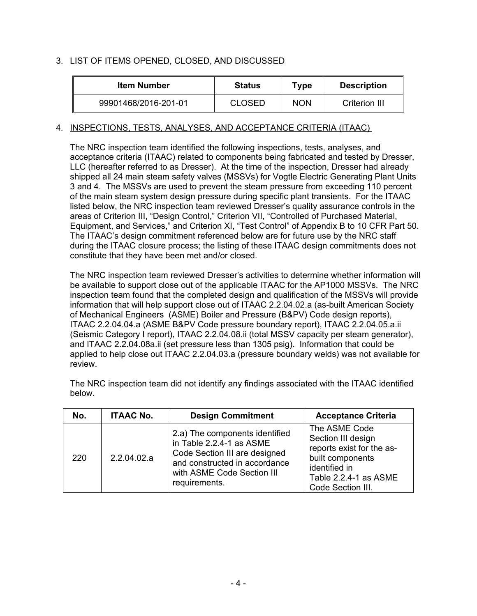# 3. LIST OF ITEMS OPENED, CLOSED, AND DISCUSSED

| <b>Item Number</b>   | <b>Status</b> | Type       | <b>Description</b> |
|----------------------|---------------|------------|--------------------|
| 99901468/2016-201-01 | <b>CLOSED</b> | <b>NON</b> | Criterion III      |

## 4. INSPECTIONS, TESTS, ANALYSES, AND ACCEPTANCE CRITERIA (ITAAC)

The NRC inspection team identified the following inspections, tests, analyses, and acceptance criteria (ITAAC) related to components being fabricated and tested by Dresser, LLC (hereafter referred to as Dresser). At the time of the inspection, Dresser had already shipped all 24 main steam safety valves (MSSVs) for Vogtle Electric Generating Plant Units 3 and 4. The MSSVs are used to prevent the steam pressure from exceeding 110 percent of the main steam system design pressure during specific plant transients. For the ITAAC listed below, the NRC inspection team reviewed Dresser's quality assurance controls in the areas of Criterion III, "Design Control," Criterion VII, "Controlled of Purchased Material, Equipment, and Services," and Criterion XI, "Test Control" of Appendix B to 10 CFR Part 50. The ITAAC's design commitment referenced below are for future use by the NRC staff during the ITAAC closure process; the listing of these ITAAC design commitments does not constitute that they have been met and/or closed.

The NRC inspection team reviewed Dresser's activities to determine whether information will be available to support close out of the applicable ITAAC for the AP1000 MSSVs. The NRC inspection team found that the completed design and qualification of the MSSVs will provide information that will help support close out of ITAAC 2.2.04.02.a (as-built American Society of Mechanical Engineers (ASME) Boiler and Pressure (B&PV) Code design reports), ITAAC 2.2.04.04.a (ASME B&PV Code pressure boundary report), ITAAC 2.2.04.05.a.ii (Seismic Category I report), ITAAC 2.2.04.08.ii (total MSSV capacity per steam generator), and ITAAC 2.2.04.08a.ii (set pressure less than 1305 psig). Information that could be applied to help close out ITAAC 2.2.04.03.a (pressure boundary welds) was not available for review.

| No. | <b>ITAAC No.</b> | <b>Design Commitment</b>                                                                                                                                                    | <b>Acceptance Criteria</b>                                                                                                                                                         |
|-----|------------------|-----------------------------------------------------------------------------------------------------------------------------------------------------------------------------|------------------------------------------------------------------------------------------------------------------------------------------------------------------------------------|
| 220 | 2.2.04.02.a      | 2.a) The components identified<br>in Table 2.2.4-1 as ASME<br>Code Section III are designed<br>and constructed in accordance<br>with ASME Code Section III<br>requirements. | The ASME Code<br>Section III design<br>reports exist for the as-<br>built components<br>identified in<br>Table 2.2.4-1 as ASME<br>$\sim$ $\sim$ $\sim$ $\sim$ $\sim$ $\sim$ $\sim$ |

Code Section III.

The NRC inspection team did not identify any findings associated with the ITAAC identified below.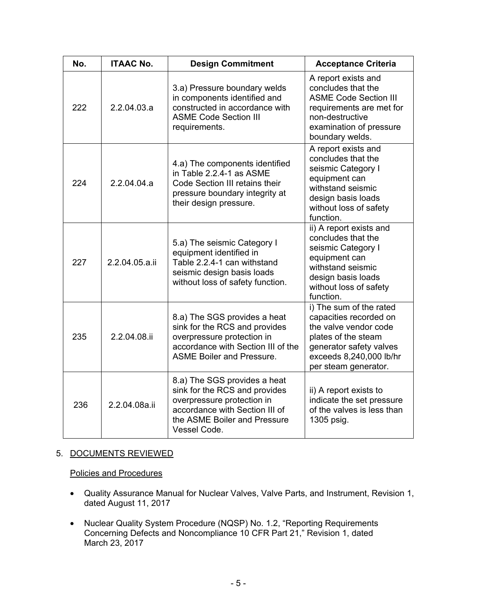| No. | <b>ITAAC No.</b> | <b>Design Commitment</b>                                                                                                                                                      | <b>Acceptance Criteria</b>                                                                                                                                                      |
|-----|------------------|-------------------------------------------------------------------------------------------------------------------------------------------------------------------------------|---------------------------------------------------------------------------------------------------------------------------------------------------------------------------------|
| 222 | 2.2.04.03.a      | 3.a) Pressure boundary welds<br>in components identified and<br>constructed in accordance with<br><b>ASME Code Section III</b><br>requirements.                               | A report exists and<br>concludes that the<br><b>ASME Code Section III</b><br>requirements are met for<br>non-destructive<br>examination of pressure<br>boundary welds.          |
| 224 | 2.2.04.04.a      | 4.a) The components identified<br>in Table 2.2.4-1 as ASME<br>Code Section III retains their<br>pressure boundary integrity at<br>their design pressure.                      | A report exists and<br>concludes that the<br>seismic Category I<br>equipment can<br>withstand seismic<br>design basis loads<br>without loss of safety<br>function.              |
| 227 | 2.2.04.05.a.ii   | 5.a) The seismic Category I<br>equipment identified in<br>Table 2.2.4-1 can withstand<br>seismic design basis loads<br>without loss of safety function.                       | ii) A report exists and<br>concludes that the<br>seismic Category I<br>equipment can<br>withstand seismic<br>design basis loads<br>without loss of safety<br>function.          |
| 235 | 2.2.04.08.ii     | 8.a) The SGS provides a heat<br>sink for the RCS and provides<br>overpressure protection in<br>accordance with Section III of the<br><b>ASME Boiler and Pressure.</b>         | i) The sum of the rated<br>capacities recorded on<br>the valve vendor code<br>plates of the steam<br>generator safety valves<br>exceeds 8,240,000 lb/hr<br>per steam generator. |
| 236 | 2.2.04.08a.ii    | 8.a) The SGS provides a heat<br>sink for the RCS and provides<br>overpressure protection in<br>accordance with Section III of<br>the ASME Boiler and Pressure<br>Vessel Code. | ii) A report exists to<br>indicate the set pressure<br>of the valves is less than<br>1305 psig.                                                                                 |

# 5. DOCUMENTS REVIEWED

Policies and Procedures

- Quality Assurance Manual for Nuclear Valves, Valve Parts, and Instrument, Revision 1, dated August 11, 2017
- Nuclear Quality System Procedure (NQSP) No. 1.2, "Reporting Requirements Concerning Defects and Noncompliance 10 CFR Part 21," Revision 1, dated March 23, 2017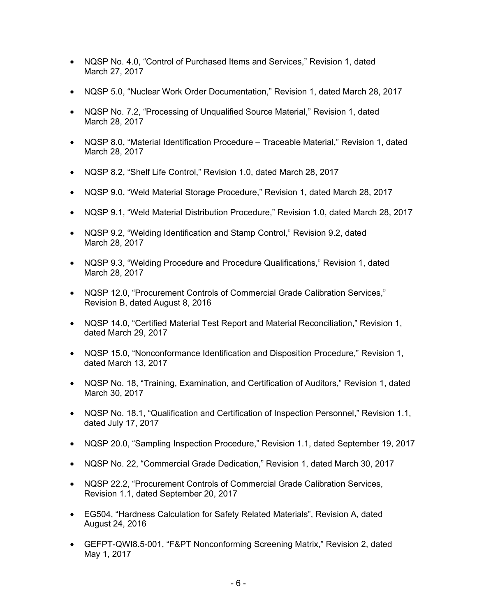- NQSP No. 4.0, "Control of Purchased Items and Services," Revision 1, dated March 27, 2017
- NQSP 5.0, "Nuclear Work Order Documentation," Revision 1, dated March 28, 2017
- NQSP No. 7.2, "Processing of Unqualified Source Material," Revision 1, dated March 28, 2017
- NQSP 8.0, "Material Identification Procedure Traceable Material," Revision 1, dated March 28, 2017
- NQSP 8.2, "Shelf Life Control," Revision 1.0, dated March 28, 2017
- NQSP 9.0, "Weld Material Storage Procedure," Revision 1, dated March 28, 2017
- NQSP 9.1, "Weld Material Distribution Procedure," Revision 1.0, dated March 28, 2017
- NQSP 9.2, "Welding Identification and Stamp Control," Revision 9.2, dated March 28, 2017
- NQSP 9.3, "Welding Procedure and Procedure Qualifications," Revision 1, dated March 28, 2017
- NQSP 12.0, "Procurement Controls of Commercial Grade Calibration Services," Revision B, dated August 8, 2016
- NQSP 14.0, "Certified Material Test Report and Material Reconciliation," Revision 1, dated March 29, 2017
- NQSP 15.0, "Nonconformance Identification and Disposition Procedure," Revision 1, dated March 13, 2017
- NQSP No. 18, "Training, Examination, and Certification of Auditors," Revision 1, dated March 30, 2017
- NQSP No. 18.1, "Qualification and Certification of Inspection Personnel," Revision 1.1, dated July 17, 2017
- NQSP 20.0, "Sampling Inspection Procedure," Revision 1.1, dated September 19, 2017
- NQSP No. 22, "Commercial Grade Dedication," Revision 1, dated March 30, 2017
- NQSP 22.2, "Procurement Controls of Commercial Grade Calibration Services, Revision 1.1, dated September 20, 2017
- EG504, "Hardness Calculation for Safety Related Materials", Revision A, dated August 24, 2016
- GEFPT-QWI8.5-001, "F&PT Nonconforming Screening Matrix," Revision 2, dated May 1, 2017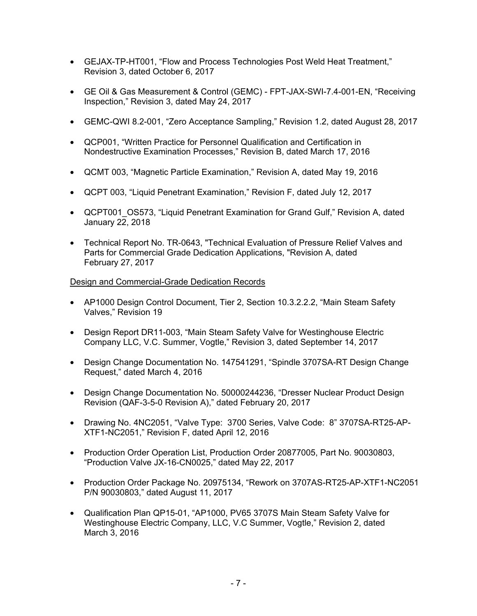- GEJAX-TP-HT001, "Flow and Process Technologies Post Weld Heat Treatment," Revision 3, dated October 6, 2017
- GE Oil & Gas Measurement & Control (GEMC) FPT-JAX-SWI-7.4-001-EN, "Receiving Inspection," Revision 3, dated May 24, 2017
- GEMC-QWI 8.2-001, "Zero Acceptance Sampling," Revision 1.2, dated August 28, 2017
- QCP001, "Written Practice for Personnel Qualification and Certification in Nondestructive Examination Processes," Revision B, dated March 17, 2016
- QCMT 003, "Magnetic Particle Examination," Revision A, dated May 19, 2016
- QCPT 003, "Liquid Penetrant Examination," Revision F, dated July 12, 2017
- QCPT001 OS573, "Liquid Penetrant Examination for Grand Gulf," Revision A, dated January 22, 2018
- Technical Report No. TR-0643, "Technical Evaluation of Pressure Relief Valves and Parts for Commercial Grade Dedication Applications, "Revision A, dated February 27, 2017

## Design and Commercial-Grade Dedication Records

- AP1000 Design Control Document, Tier 2, Section 10.3.2.2.2, "Main Steam Safety Valves," Revision 19
- Design Report DR11-003, "Main Steam Safety Valve for Westinghouse Electric Company LLC, V.C. Summer, Vogtle," Revision 3, dated September 14, 2017
- Design Change Documentation No. 147541291, "Spindle 3707SA-RT Design Change Request," dated March 4, 2016
- Design Change Documentation No. 50000244236, "Dresser Nuclear Product Design Revision (QAF-3-5-0 Revision A)," dated February 20, 2017
- Drawing No. 4NC2051, "Valve Type: 3700 Series, Valve Code: 8" 3707SA-RT25-AP-XTF1-NC2051," Revision F, dated April 12, 2016
- Production Order Operation List, Production Order 20877005, Part No. 90030803, "Production Valve JX-16-CN0025," dated May 22, 2017
- Production Order Package No. 20975134, "Rework on 3707AS-RT25-AP-XTF1-NC2051 P/N 90030803," dated August 11, 2017
- Qualification Plan QP15-01, "AP1000, PV65 3707S Main Steam Safety Valve for Westinghouse Electric Company, LLC, V.C Summer, Vogtle," Revision 2, dated March 3, 2016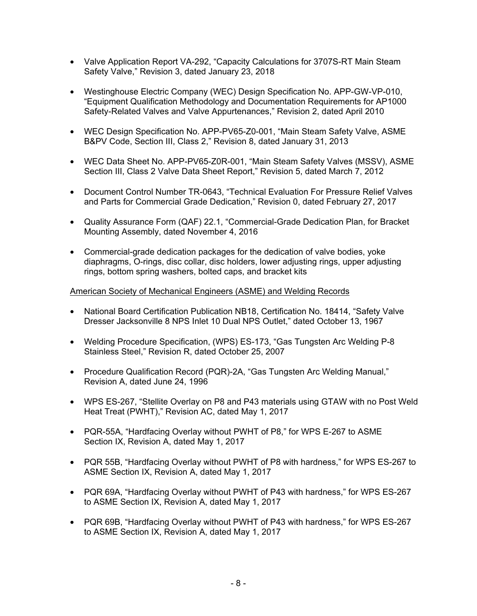- Valve Application Report VA-292, "Capacity Calculations for 3707S-RT Main Steam Safety Valve," Revision 3, dated January 23, 2018
- Westinghouse Electric Company (WEC) Design Specification No. APP-GW-VP-010, "Equipment Qualification Methodology and Documentation Requirements for AP1000 Safety-Related Valves and Valve Appurtenances," Revision 2, dated April 2010
- WEC Design Specification No. APP-PV65-Z0-001, "Main Steam Safety Valve, ASME B&PV Code, Section III, Class 2," Revision 8, dated January 31, 2013
- WEC Data Sheet No. APP-PV65-Z0R-001, "Main Steam Safety Valves (MSSV), ASME Section III, Class 2 Valve Data Sheet Report," Revision 5, dated March 7, 2012
- Document Control Number TR-0643, "Technical Evaluation For Pressure Relief Valves and Parts for Commercial Grade Dedication," Revision 0, dated February 27, 2017
- Quality Assurance Form (QAF) 22.1, "Commercial-Grade Dedication Plan, for Bracket Mounting Assembly, dated November 4, 2016
- Commercial-grade dedication packages for the dedication of valve bodies, yoke diaphragms, O-rings, disc collar, disc holders, lower adjusting rings, upper adjusting rings, bottom spring washers, bolted caps, and bracket kits

## American Society of Mechanical Engineers (ASME) and Welding Records

- National Board Certification Publication NB18, Certification No. 18414, "Safety Valve Dresser Jacksonville 8 NPS Inlet 10 Dual NPS Outlet," dated October 13, 1967
- Welding Procedure Specification, (WPS) ES-173, "Gas Tungsten Arc Welding P-8 Stainless Steel," Revision R, dated October 25, 2007
- Procedure Qualification Record (PQR)-2A, "Gas Tungsten Arc Welding Manual," Revision A, dated June 24, 1996
- WPS ES-267, "Stellite Overlay on P8 and P43 materials using GTAW with no Post Weld Heat Treat (PWHT)," Revision AC, dated May 1, 2017
- PQR-55A, "Hardfacing Overlay without PWHT of P8," for WPS E-267 to ASME Section IX, Revision A, dated May 1, 2017
- PQR 55B, "Hardfacing Overlay without PWHT of P8 with hardness," for WPS ES-267 to ASME Section IX, Revision A, dated May 1, 2017
- PQR 69A, "Hardfacing Overlay without PWHT of P43 with hardness," for WPS ES-267 to ASME Section IX, Revision A, dated May 1, 2017
- PQR 69B, "Hardfacing Overlay without PWHT of P43 with hardness," for WPS ES-267 to ASME Section IX, Revision A, dated May 1, 2017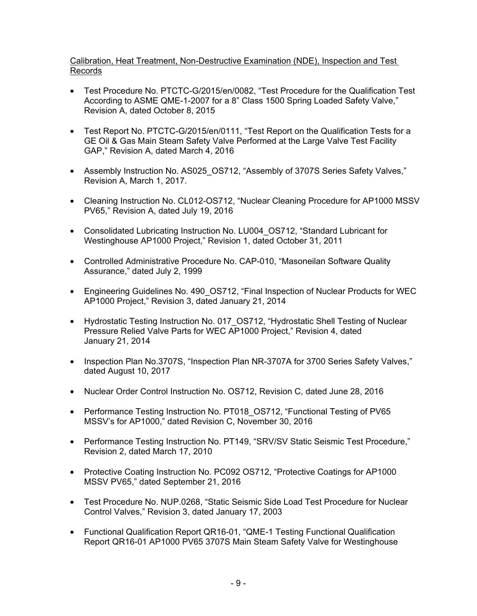## Calibration, Heat Treatment, Non-Destructive Examination (NDE), Inspection and Test Records

- Test Procedure No. PTCTC-G/2015/en/0082, "Test Procedure for the Qualification Test According to ASME QME-1-2007 for a 8" Class 1500 Spring Loaded Safety Valve," Revision A, dated October 8, 2015
- Test Report No. PTCTC-G/2015/en/0111, "Test Report on the Qualification Tests for a GE Oil & Gas Main Steam Safety Valve Performed at the Large Valve Test Facility GAP," Revision A, dated March 4, 2016
- Assembly Instruction No. AS025\_OS712, "Assembly of 3707S Series Safety Valves," Revision A, March 1, 2017.
- Cleaning Instruction No. CL012-OS712, "Nuclear Cleaning Procedure for AP1000 MSSV PV65," Revision A, dated July 19, 2016
- Consolidated Lubricating Instruction No. LU004\_OS712, "Standard Lubricant for Westinghouse AP1000 Project," Revision 1, dated October 31, 2011
- Controlled Administrative Procedure No. CAP-010, "Masoneilan Software Quality Assurance," dated July 2, 1999
- Engineering Guidelines No. 490 OS712, "Final Inspection of Nuclear Products for WEC AP1000 Project," Revision 3, dated January 21, 2014
- Hydrostatic Testing Instruction No. 017 OS712, "Hydrostatic Shell Testing of Nuclear Pressure Relied Valve Parts for WEC AP1000 Project," Revision 4, dated January 21, 2014
- Inspection Plan No.3707S, "Inspection Plan NR-3707A for 3700 Series Safety Valves," dated August 10, 2017
- Nuclear Order Control Instruction No. OS712, Revision C, dated June 28, 2016
- Performance Testing Instruction No. PT018 OS712, "Functional Testing of PV65 MSSV's for AP1000," dated Revision C, November 30, 2016
- Performance Testing Instruction No. PT149, "SRV/SV Static Seismic Test Procedure," Revision 2, dated March 17, 2010
- Protective Coating Instruction No. PC092 OS712, "Protective Coatings for AP1000 MSSV PV65," dated September 21, 2016
- Test Procedure No. NUP.0268, "Static Seismic Side Load Test Procedure for Nuclear Control Valves," Revision 3, dated January 17, 2003
- Functional Qualification Report QR16-01, "QME-1 Testing Functional Qualification Report QR16-01 AP1000 PV65 3707S Main Steam Safety Valve for Westinghouse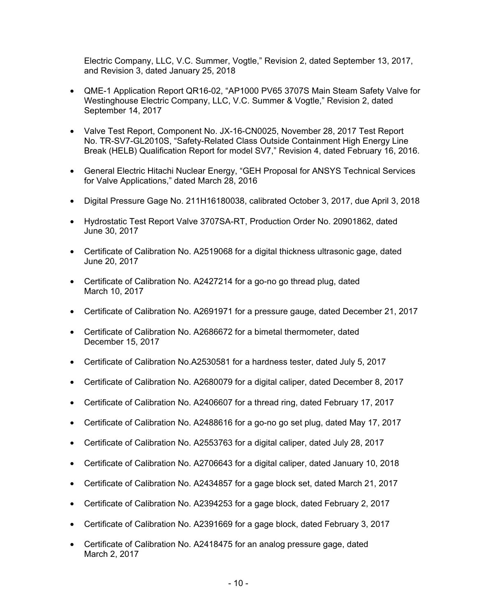Electric Company, LLC, V.C. Summer, Vogtle," Revision 2, dated September 13, 2017, and Revision 3, dated January 25, 2018

- QME-1 Application Report QR16-02, "AP1000 PV65 3707S Main Steam Safety Valve for Westinghouse Electric Company, LLC, V.C. Summer & Vogtle," Revision 2, dated September 14, 2017
- Valve Test Report, Component No. JX-16-CN0025, November 28, 2017 Test Report No. TR-SV7-GL2010S, "Safety-Related Class Outside Containment High Energy Line Break (HELB) Qualification Report for model SV7," Revision 4, dated February 16, 2016.
- General Electric Hitachi Nuclear Energy, "GEH Proposal for ANSYS Technical Services for Valve Applications," dated March 28, 2016
- Digital Pressure Gage No. 211H16180038, calibrated October 3, 2017, due April 3, 2018
- Hydrostatic Test Report Valve 3707SA-RT, Production Order No. 20901862, dated June 30, 2017
- Certificate of Calibration No. A2519068 for a digital thickness ultrasonic gage, dated June 20, 2017
- Certificate of Calibration No. A2427214 for a go-no go thread plug, dated March 10, 2017
- Certificate of Calibration No. A2691971 for a pressure gauge, dated December 21, 2017
- Certificate of Calibration No. A2686672 for a bimetal thermometer, dated December 15, 2017
- Certificate of Calibration No.A2530581 for a hardness tester, dated July 5, 2017
- Certificate of Calibration No. A2680079 for a digital caliper, dated December 8, 2017
- Certificate of Calibration No. A2406607 for a thread ring, dated February 17, 2017
- Certificate of Calibration No. A2488616 for a go-no go set plug, dated May 17, 2017
- Certificate of Calibration No. A2553763 for a digital caliper, dated July 28, 2017
- Certificate of Calibration No. A2706643 for a digital caliper, dated January 10, 2018
- Certificate of Calibration No. A2434857 for a gage block set, dated March 21, 2017
- Certificate of Calibration No. A2394253 for a gage block, dated February 2, 2017
- Certificate of Calibration No. A2391669 for a gage block, dated February 3, 2017
- Certificate of Calibration No. A2418475 for an analog pressure gage, dated March 2, 2017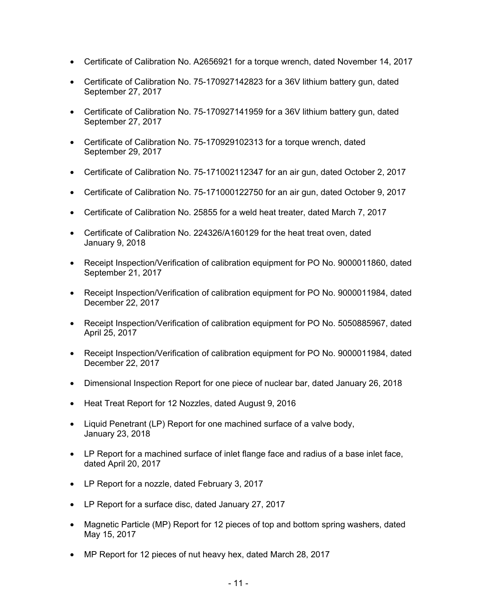- Certificate of Calibration No. A2656921 for a torque wrench, dated November 14, 2017
- Certificate of Calibration No. 75-170927142823 for a 36V lithium battery gun, dated September 27, 2017
- Certificate of Calibration No. 75-170927141959 for a 36V lithium battery gun, dated September 27, 2017
- Certificate of Calibration No. 75-170929102313 for a torque wrench, dated September 29, 2017
- Certificate of Calibration No. 75-171002112347 for an air gun, dated October 2, 2017
- Certificate of Calibration No. 75-171000122750 for an air gun, dated October 9, 2017
- Certificate of Calibration No. 25855 for a weld heat treater, dated March 7, 2017
- Certificate of Calibration No. 224326/A160129 for the heat treat oven, dated January 9, 2018
- Receipt Inspection/Verification of calibration equipment for PO No. 9000011860, dated September 21, 2017
- Receipt Inspection/Verification of calibration equipment for PO No. 9000011984, dated December 22, 2017
- Receipt Inspection/Verification of calibration equipment for PO No. 5050885967, dated April 25, 2017
- Receipt Inspection/Verification of calibration equipment for PO No. 9000011984, dated December 22, 2017
- Dimensional Inspection Report for one piece of nuclear bar, dated January 26, 2018
- Heat Treat Report for 12 Nozzles, dated August 9, 2016
- Liquid Penetrant (LP) Report for one machined surface of a valve body, January 23, 2018
- LP Report for a machined surface of inlet flange face and radius of a base inlet face, dated April 20, 2017
- LP Report for a nozzle, dated February 3, 2017
- LP Report for a surface disc, dated January 27, 2017
- Magnetic Particle (MP) Report for 12 pieces of top and bottom spring washers, dated May 15, 2017
- MP Report for 12 pieces of nut heavy hex, dated March 28, 2017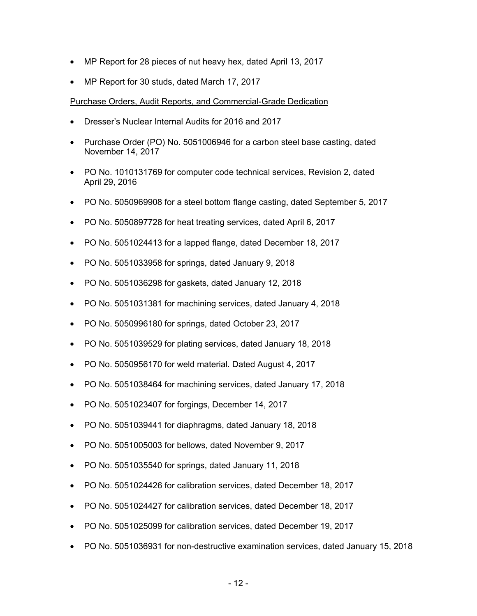- MP Report for 28 pieces of nut heavy hex, dated April 13, 2017
- MP Report for 30 studs, dated March 17, 2017

## Purchase Orders, Audit Reports, and Commercial-Grade Dedication

- Dresser's Nuclear Internal Audits for 2016 and 2017
- Purchase Order (PO) No. 5051006946 for a carbon steel base casting, dated November 14, 2017
- PO No. 1010131769 for computer code technical services, Revision 2, dated April 29, 2016
- PO No. 5050969908 for a steel bottom flange casting, dated September 5, 2017
- PO No. 5050897728 for heat treating services, dated April 6, 2017
- PO No. 5051024413 for a lapped flange, dated December 18, 2017
- PO No. 5051033958 for springs, dated January 9, 2018
- PO No. 5051036298 for gaskets, dated January 12, 2018
- PO No. 5051031381 for machining services, dated January 4, 2018
- PO No. 5050996180 for springs, dated October 23, 2017
- PO No. 5051039529 for plating services, dated January 18, 2018
- PO No. 5050956170 for weld material. Dated August 4, 2017
- PO No. 5051038464 for machining services, dated January 17, 2018
- PO No. 5051023407 for forgings, December 14, 2017
- PO No. 5051039441 for diaphragms, dated January 18, 2018
- PO No. 5051005003 for bellows, dated November 9, 2017
- PO No. 5051035540 for springs, dated January 11, 2018
- PO No. 5051024426 for calibration services, dated December 18, 2017
- PO No. 5051024427 for calibration services, dated December 18, 2017
- PO No. 5051025099 for calibration services, dated December 19, 2017
- PO No. 5051036931 for non-destructive examination services, dated January 15, 2018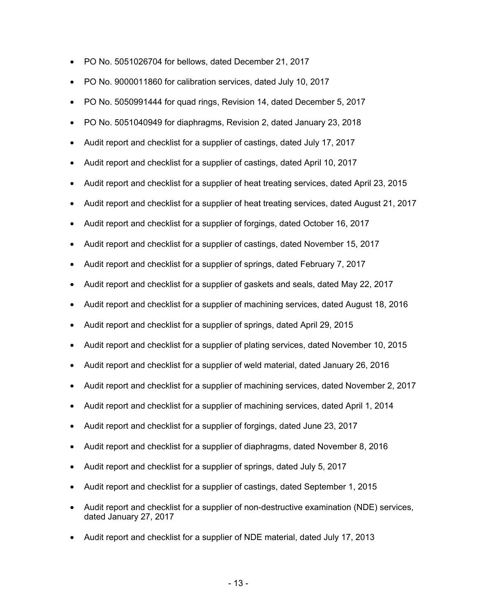- PO No. 5051026704 for bellows, dated December 21, 2017
- PO No. 9000011860 for calibration services, dated July 10, 2017
- PO No. 5050991444 for quad rings, Revision 14, dated December 5, 2017
- PO No. 5051040949 for diaphragms, Revision 2, dated January 23, 2018
- Audit report and checklist for a supplier of castings, dated July 17, 2017
- Audit report and checklist for a supplier of castings, dated April 10, 2017
- Audit report and checklist for a supplier of heat treating services, dated April 23, 2015
- Audit report and checklist for a supplier of heat treating services, dated August 21, 2017
- Audit report and checklist for a supplier of forgings, dated October 16, 2017
- Audit report and checklist for a supplier of castings, dated November 15, 2017
- Audit report and checklist for a supplier of springs, dated February 7, 2017
- Audit report and checklist for a supplier of gaskets and seals, dated May 22, 2017
- Audit report and checklist for a supplier of machining services, dated August 18, 2016
- Audit report and checklist for a supplier of springs, dated April 29, 2015
- Audit report and checklist for a supplier of plating services, dated November 10, 2015
- Audit report and checklist for a supplier of weld material, dated January 26, 2016
- Audit report and checklist for a supplier of machining services, dated November 2, 2017
- Audit report and checklist for a supplier of machining services, dated April 1, 2014
- Audit report and checklist for a supplier of forgings, dated June 23, 2017
- Audit report and checklist for a supplier of diaphragms, dated November 8, 2016
- Audit report and checklist for a supplier of springs, dated July 5, 2017
- Audit report and checklist for a supplier of castings, dated September 1, 2015
- Audit report and checklist for a supplier of non-destructive examination (NDE) services, dated January 27, 2017
- Audit report and checklist for a supplier of NDE material, dated July 17, 2013